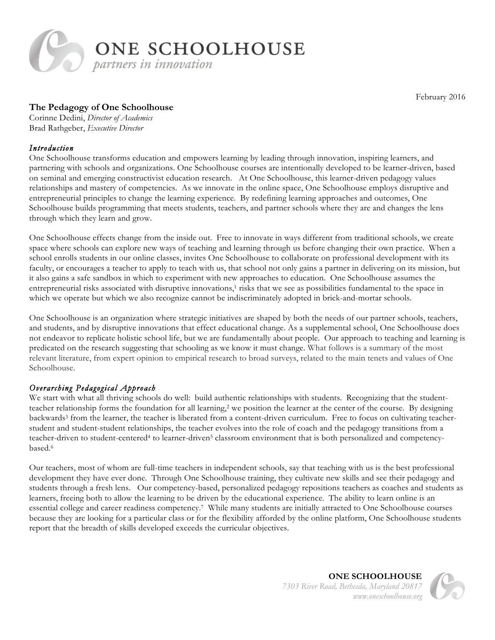

February 2016

# **The Pedagogy of One Schoolhouse**

Corinne Dedini, *Director of Academics* Brad Rathgeber, *Executive Director*

## *Introduction*

One Schoolhouse transforms education and empowers learning by leading through innovation, inspiring learners, and partnering with schools and organizations. One Schoolhouse courses are intentionally developed to be learner-driven, based on seminal and emerging constructivist education research. At One Schoolhouse, this learner-driven pedagogy values relationships and mastery of competencies. As we innovate in the online space, One Schoolhouse employs disruptive and entrepreneurial principles to change the learning experience. By redefining learning approaches and outcomes, One Schoolhouse builds programming that meets students, teachers, and partner schools where they are and changes the lens through which they learn and grow.

One Schoolhouse effects change from the inside out. Free to innovate in ways different from traditional schools, we create space where schools can explore new ways of teaching and learning through us before changing their own practice. When a school enrolls students in our online classes, invites One Schoolhouse to collaborate on professional development with its faculty, or encourages a teacher to apply to teach with us, that school not only gains a partner in delivering on its mission, but it also gains a safe sandbox in which to experiment with new approaches to education. One Schoolhouse assumes the entrepreneurial risks associated with disruptive innovations,<sup>1</sup> risks that we see as possibilities fundamental to the space in which we operate but which we also recognize cannot be indiscriminately adopted in brick-and-mortar schools.

One Schoolhouse is an organization where strategic initiatives are shaped by both the needs of our partner schools, teachers, and students, and by disruptive innovations that effect educational change. As a supplemental school, One Schoolhouse does not endeavor to replicate holistic school life, but we are fundamentally about people. Our approach to teaching and learning is predicated on the research suggesting that schooling as we know it must change. What follows is a summary of the most relevant literature, from expert opinion to empirical research to broad surveys, related to the main tenets and values of One Schoolhouse.

# *Overarching Pedagogical Approach*

We start with what all thriving schools do well: build authentic relationships with students. Recognizing that the studentteacher relationship forms the foundation for all learning,<sup>2</sup> we position the learner at the center of the course. By designing backwards<sup>3</sup> from the learner, the teacher is liberated from a content-driven curriculum. Free to focus on cultivating teacherstudent and student-student relationships, the teacher evolves into the role of coach and the pedagogy transitions from a teacher-driven to student-centered<sup>4</sup> to learner-driven<sup>5</sup> classroom environment that is both personalized and competencybased.6

Our teachers, most of whom are full-time teachers in independent schools, say that teaching with us is the best professional development they have ever done. Through One Schoolhouse training, they cultivate new skills and see their pedagogy and students through a fresh lens. Our competency-based, personalized pedagogy repositions teachers as coaches and students as learners, freeing both to allow the learning to be driven by the educational experience. The ability to learn online is an essential college and career readiness competency.7 While many students are initially attracted to One Schoolhouse courses because they are looking for a particular class or for the flexibility afforded by the online platform, One Schoolhouse students report that the breadth of skills developed exceeds the curricular objectives.

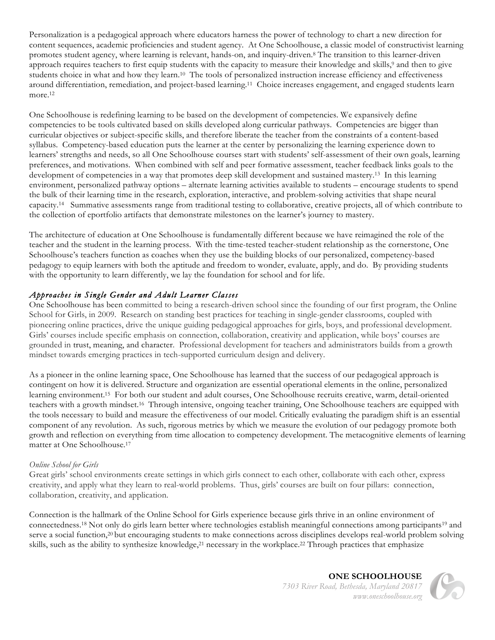Personalization is a pedagogical approach where educators harness the power of technology to chart a new direction for content sequences, academic proficiencies and student agency. At One Schoolhouse, a classic model of constructivist learning promotes student agency, where learning is relevant, hands-on, and inquiry-driven.8 The transition to this learner-driven approach requires teachers to first equip students with the capacity to measure their knowledge and skills,9 and then to give students choice in what and how they learn.10 The tools of personalized instruction increase efficiency and effectiveness around differentiation, remediation, and project-based learning.11 Choice increases engagement, and engaged students learn more.<sup>12</sup>

One Schoolhouse is redefining learning to be based on the development of competencies. We expansively define competencies to be tools cultivated based on skills developed along curricular pathways. Competencies are bigger than curricular objectives or subject-specific skills, and therefore liberate the teacher from the constraints of a content-based syllabus. Competency-based education puts the learner at the center by personalizing the learning experience down to learners' strengths and needs, so all One Schoolhouse courses start with students' self-assessment of their own goals, learning preferences, and motivations. When combined with self and peer formative assessment, teacher feedback links goals to the development of competencies in a way that promotes deep skill development and sustained mastery.13 In this learning environment, personalized pathway options – alternate learning activities available to students – encourage students to spend the bulk of their learning time in the research, exploration, interactive, and problem-solving activities that shape neural capacity.14 Summative assessments range from traditional testing to collaborative, creative projects, all of which contribute to the collection of eportfolio artifacts that demonstrate milestones on the learner's journey to mastery.

The architecture of education at One Schoolhouse is fundamentally different because we have reimagined the role of the teacher and the student in the learning process. With the time-tested teacher-student relationship as the cornerstone, One Schoolhouse's teachers function as coaches when they use the building blocks of our personalized, competency-based pedagogy to equip learners with both the aptitude and freedom to wonder, evaluate, apply, and do. By providing students with the opportunity to learn differently, we lay the foundation for school and for life.

# *Approaches in Single Gender and Adult Learner Classes*

One Schoolhouse has been committed to being a research-driven school since the founding of our first program, the Online School for Girls, in 2009. Research on standing best practices for teaching in single-gender classrooms, coupled with pioneering online practices, drive the unique guiding pedagogical approaches for girls, boys, and professional development. Girls' courses include specific emphasis on connection, collaboration, creativity and application, while boys' courses are grounded in trust, meaning, and character. Professional development for teachers and administrators builds from a growth mindset towards emerging practices in tech-supported curriculum design and delivery.

As a pioneer in the online learning space, One Schoolhouse has learned that the success of our pedagogical approach is contingent on how it is delivered. Structure and organization are essential operational elements in the online, personalized learning environment.15 For both our student and adult courses, One Schoolhouse recruits creative, warm, detail-oriented teachers with a growth mindset.16 Through intensive, ongoing teacher training, One Schoolhouse teachers are equipped with the tools necessary to build and measure the effectiveness of our model. Critically evaluating the paradigm shift is an essential component of any revolution. As such, rigorous metrics by which we measure the evolution of our pedagogy promote both growth and reflection on everything from time allocation to competency development. The metacognitive elements of learning matter at One Schoolhouse.17

## *Online School for Girls*

Great girls' school environments create settings in which girls connect to each other, collaborate with each other, express creativity, and apply what they learn to real-world problems. Thus, girls' courses are built on four pillars: connection, collaboration, creativity, and application.

Connection is the hallmark of the Online School for Girls experience because girls thrive in an online environment of connectedness.<sup>18</sup> Not only do girls learn better where technologies establish meaningful connections among participants<sup>19</sup> and serve a social function,<sup>20</sup> but encouraging students to make connections across disciplines develops real-world problem solving skills, such as the ability to synthesize knowledge,<sup>21</sup> necessary in the workplace.<sup>22</sup> Through practices that emphasize

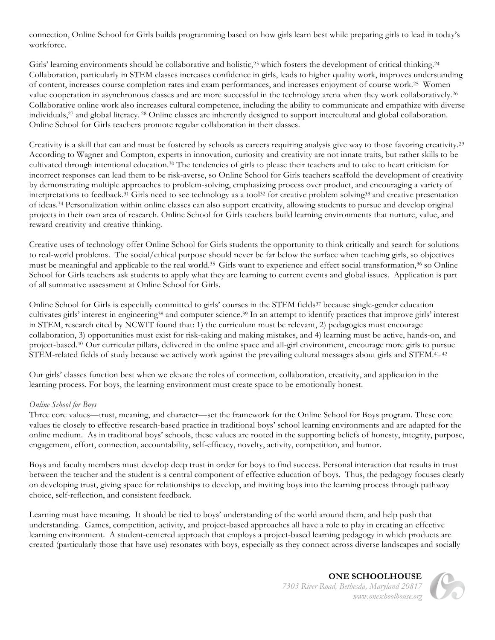connection, Online School for Girls builds programming based on how girls learn best while preparing girls to lead in today's workforce.

Girls' learning environments should be collaborative and holistic,<sup>23</sup> which fosters the development of critical thinking.<sup>24</sup> Collaboration, particularly in STEM classes increases confidence in girls, leads to higher quality work, improves understanding of content, increases course completion rates and exam performances, and increases enjoyment of course work.25 Women value cooperation in asynchronous classes and are more successful in the technology arena when they work collaboratively.26 Collaborative online work also increases cultural competence, including the ability to communicate and empathize with diverse individuals,27 and global literacy. <sup>28</sup> Online classes are inherently designed to support intercultural and global collaboration. Online School for Girls teachers promote regular collaboration in their classes.

Creativity is a skill that can and must be fostered by schools as careers requiring analysis give way to those favoring creativity.29 According to Wagner and Compton, experts in innovation, curiosity and creativity are not innate traits, but rather skills to be cultivated through intentional education.30 The tendencies of girls to please their teachers and to take to heart criticism for incorrect responses can lead them to be risk-averse, so Online School for Girls teachers scaffold the development of creativity by demonstrating multiple approaches to problem-solving, emphasizing process over product, and encouraging a variety of interpretations to feedback.<sup>31</sup> Girls need to see technology as a tool<sup>32</sup> for creative problem solving<sup>33</sup> and creative presentation of ideas.34 Personalization within online classes can also support creativity, allowing students to pursue and develop original projects in their own area of research. Online School for Girls teachers build learning environments that nurture, value, and reward creativity and creative thinking.

Creative uses of technology offer Online School for Girls students the opportunity to think critically and search for solutions to real-world problems. The social/ethical purpose should never be far below the surface when teaching girls, so objectives must be meaningful and applicable to the real world.35 Girls want to experience and effect social transformation,36 so Online School for Girls teachers ask students to apply what they are learning to current events and global issues. Application is part of all summative assessment at Online School for Girls.

Online School for Girls is especially committed to girls' courses in the STEM fields<sup>37</sup> because single-gender education cultivates girls' interest in engineering38 and computer science.39 In an attempt to identify practices that improve girls' interest in STEM, research cited by NCWIT found that: 1) the curriculum must be relevant, 2) pedagogies must encourage collaboration, 3) opportunities must exist for risk-taking and making mistakes, and 4) learning must be active, hands-on, and project-based.40 Our curricular pillars, delivered in the online space and all-girl environment, encourage more girls to pursue STEM-related fields of study because we actively work against the prevailing cultural messages about girls and STEM.<sup>41, 42</sup>

Our girls' classes function best when we elevate the roles of connection, collaboration, creativity, and application in the learning process. For boys, the learning environment must create space to be emotionally honest.

#### *Online School for Boys*

Three core values—trust, meaning, and character—set the framework for the Online School for Boys program. These core values tie closely to effective research-based practice in traditional boys' school learning environments and are adapted for the online medium. As in traditional boys' schools, these values are rooted in the supporting beliefs of honesty, integrity, purpose, engagement, effort, connection, accountability, self-efficacy, novelty, activity, competition, and humor.

Boys and faculty members must develop deep trust in order for boys to find success. Personal interaction that results in trust between the teacher and the student is a central component of effective education of boys. Thus, the pedagogy focuses clearly on developing trust, giving space for relationships to develop, and inviting boys into the learning process through pathway choice, self-reflection, and consistent feedback.

Learning must have meaning. It should be tied to boys' understanding of the world around them, and help push that understanding. Games, competition, activity, and project-based approaches all have a role to play in creating an effective learning environment. A student-centered approach that employs a project-based learning pedagogy in which products are created (particularly those that have use) resonates with boys, especially as they connect across diverse landscapes and socially

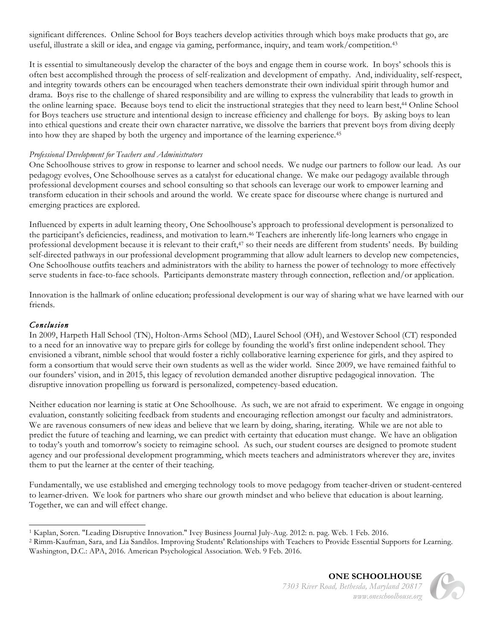significant differences. Online School for Boys teachers develop activities through which boys make products that go, are useful, illustrate a skill or idea, and engage via gaming, performance, inquiry, and team work/competition.43

It is essential to simultaneously develop the character of the boys and engage them in course work. In boys' schools this is often best accomplished through the process of self-realization and development of empathy. And, individuality, self-respect, and integrity towards others can be encouraged when teachers demonstrate their own individual spirit through humor and drama. Boys rise to the challenge of shared responsibility and are willing to express the vulnerability that leads to growth in the online learning space. Because boys tend to elicit the instructional strategies that they need to learn best,44 Online School for Boys teachers use structure and intentional design to increase efficiency and challenge for boys. By asking boys to lean into ethical questions and create their own character narrative, we dissolve the barriers that prevent boys from diving deeply into how they are shaped by both the urgency and importance of the learning experience.45

#### *Professional Development for Teachers and Administrators*

One Schoolhouse strives to grow in response to learner and school needs. We nudge our partners to follow our lead. As our pedagogy evolves, One Schoolhouse serves as a catalyst for educational change. We make our pedagogy available through professional development courses and school consulting so that schools can leverage our work to empower learning and transform education in their schools and around the world. We create space for discourse where change is nurtured and emerging practices are explored.

Influenced by experts in adult learning theory, One Schoolhouse's approach to professional development is personalized to the participant's deficiencies, readiness, and motivation to learn.<sup>46</sup> Teachers are inherently life-long learners who engage in professional development because it is relevant to their craft,<sup>47</sup> so their needs are different from students' needs. By building self-directed pathways in our professional development programming that allow adult learners to develop new competencies, One Schoolhouse outfits teachers and administrators with the ability to harness the power of technology to more effectively serve students in face-to-face schools. Participants demonstrate mastery through connection, reflection and/or application.

Innovation is the hallmark of online education; professional development is our way of sharing what we have learned with our friends.

## *Conclusion*

In 2009, Harpeth Hall School (TN), Holton-Arms School (MD), Laurel School (OH), and Westover School (CT) responded to a need for an innovative way to prepare girls for college by founding the world's first online independent school. They envisioned a vibrant, nimble school that would foster a richly collaborative learning experience for girls, and they aspired to form a consortium that would serve their own students as well as the wider world. Since 2009, we have remained faithful to our founders' vision, and in 2015, this legacy of revolution demanded another disruptive pedagogical innovation. The disruptive innovation propelling us forward is personalized, competency-based education.

Neither education nor learning is static at One Schoolhouse. As such, we are not afraid to experiment. We engage in ongoing evaluation, constantly soliciting feedback from students and encouraging reflection amongst our faculty and administrators. We are ravenous consumers of new ideas and believe that we learn by doing, sharing, iterating. While we are not able to predict the future of teaching and learning, we can predict with certainty that education must change. We have an obligation to today's youth and tomorrow's society to reimagine school. As such, our student courses are designed to promote student agency and our professional development programming, which meets teachers and administrators wherever they are, invites them to put the learner at the center of their teaching.

Fundamentally, we use established and emerging technology tools to move pedagogy from teacher-driven or student-centered to learner-driven. We look for partners who share our growth mindset and who believe that education is about learning. Together, we can and will effect change.



 <sup>1</sup> Kaplan, Soren. "Leading Disruptive Innovation." Ivey Business Journal July-Aug. 2012: n. pag. Web. 1 Feb. 2016.

<sup>2</sup> Rimm-Kaufman, Sara, and Lia Sandilos. Improving Students' Relationships with Teachers to Provide Essential Supports for Learning. Washington, D.C.: APA, 2016. American Psychological Association. Web. 9 Feb. 2016.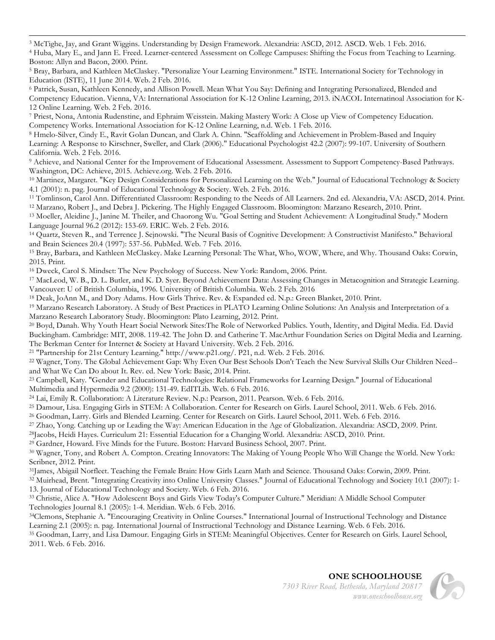<u> 1989 - Andrea Andrew Maria a Carlo Maria a Carlo Maria a Carlo Maria a Carlo Maria a Carlo Maria a Carlo Mar</u> <sup>3</sup> McTighe, Jay, and Grant Wiggins. Understanding by Design Framework. Alexandria: ASCD, 2012. ASCD. Web. 1 Feb. 2016. <sup>4</sup> Huba, Mary E., and Jann E. Freed. Learner-centered Assessment on College Campuses: Shifting the Focus from Teaching to Learning. Boston: Allyn and Bacon, 2000. Print.

<sup>6</sup> Patrick, Susan, Kathleen Kennedy, and Allison Powell. Mean What You Say: Defining and Integrating Personalized, Blended and Competency Education. Vienna, VA: International Association for K-12 Online Learning, 2013. iNACOL Internatinoal Association for K-12 Online Learning. Web. 2 Feb. 2016.

<sup>7</sup> Priest, Nona, Antonia Rudenstine, and Ephraim Weisstein. Making Mastery Work: A Close up View of Competency Education. Competency Works. International Association for K-12 Online Learning, n.d. Web. 1 Feb. 2016.

<sup>8</sup> Hmelo-Silver, Cindy E., Ravit Golan Duncan, and Clark A. Chinn. "Scaffolding and Achievement in Problem-Based and Inquiry Learning: A Response to Kirschner, Sweller, and Clark (2006)." Educational Psychologist 42.2 (2007): 99-107. University of Southern California. Web. 2 Feb. 2016.

<sup>9</sup> Achieve, and National Center for the Improvement of Educational Assessment. Assessment to Support Competency-Based Pathways. Washington, DC: Achieve, 2015. Achieve.org. Web. 2 Feb. 2016.

<sup>10</sup> Martinez, Margaret. "Key Design Considerations for Personalized Learning on the Web." Journal of Educational Technology & Society 4.1 (2001): n. pag. Journal of Educational Technology & Society. Web. 2 Feb. 2016.

<sup>11</sup> Tomlinson, Carol Ann. Differentiated Classroom: Responding to the Needs of All Learners. 2nd ed. Alexandria, VA: ASCD, 2014. Print. <sup>12</sup> Marzano, Robert J., and Debra J. Pickering. The Highly Engaged Classroom. Bloomington: Marzano Research, 2010. Print.

<sup>13</sup> Moeller, Aleidine J., Janine M. Theiler, and Chaorong Wu. "Goal Setting and Student Achievement: A Longitudinal Study." Modern Language Journal 96.2 (2012): 153-69. ERIC. Web. 2 Feb. 2016.

<sup>14</sup> Quartz, Steven R., and Terrence J. Sejnowski. "The Neural Basis of Cognitive Development: A Constructivist Manifesto." Behavioral and Brain Sciences 20.4 (1997): 537-56. PubMed. Web. 7 Feb. 2016.

<sup>15</sup> Bray, Barbara, and Kathleen McClaskey. Make Learning Personal: The What, Who, WOW, Where, and Why. Thousand Oaks: Corwin, 2015. Print.

<sup>16</sup> Dweck, Carol S. Mindset: The New Psychology of Success. New York: Random, 2006. Print.

<sup>17</sup> MacLeod, W. B., D. L. Butler, and K. D. Syer. Beyond Achievement Data: Assessing Changes in Metacognition and Strategic Learning. Vancouver: U of British Columbia, 1996. University of British Columbia. Web. 2 Feb. 2016

<sup>18</sup> Deak, JoAnn M., and Dory Adams. How Girls Thrive. Rev. & Expanded ed. N.p.: Green Blanket, 2010. Print.

<sup>19</sup> Marzano Research Laboratory. A Study of Best Practices in PLATO Learning Online Solutions: An Analysis and Interpretation of a Marzano Research Laboratory Study. Bloomington: Plato Learning, 2012. Print.

<sup>20</sup> Boyd, Danah. Why Youth Heart Social Network Sites:The Role of Networked Publics. Youth, Identity, and Digital Media. Ed. David Buckingham. Cambridge: MIT, 2008. 119-42. The John D. and Catherine T. MacArthur Foundation Series on Digital Media and Learning. The Berkman Center for Internet & Society at Havard University. Web. 2 Feb. 2016.

<sup>21</sup> "Partnership for 21st Century Learning." http://www.p21.org/. P21, n.d. Web. 2 Feb. 2016.

<sup>22</sup> Wagner, Tony. The Global Achievement Gap: Why Even Our Best Schools Don't Teach the New Survival Skills Our Children Need- and What We Can Do about It. Rev. ed. New York: Basic, 2014. Print.

<sup>23</sup> Campbell, Katy. "Gender and Educational Technologies: Relational Frameworks for Learning Design." Journal of Educational Multimedia and Hypermedia 9.2 (2000): 131-49. EdITLib. Web. 6 Feb. 2016.

<sup>24</sup> Lai, Emily R. Collaboration: A Literature Review. N.p.: Pearson, 2011. Pearson. Web. 6 Feb. 2016.

<sup>25</sup> Damour, Lisa. Engaging Girls in STEM: A Collaboration. Center for Research on Girls. Laurel School, 2011. Web. 6 Feb. 2016.

<sup>26</sup> Goodman, Larry. Girls and Blended Learning. Center for Research on Girls. Laurel School, 2011. Web. 6 Feb. 2016.

<sup>27</sup> Zhao, Yong. Catching up or Leading the Way: American Education in the Age of Globalization. Alexandria: ASCD, 2009. Print.

28Jacobs, Heidi Hayes. Curriculum 21: Essential Education for a Changing World. Alexandria: ASCD, 2010. Print.

<sup>29</sup> Gardner, Howard. Five Minds for the Future. Boston: Harvard Business School, 2007. Print.

<sup>30</sup> Wagner, Tony, and Robert A. Compton. Creating Innovators: The Making of Young People Who Will Change the World. New York: Scribner, 2012. Print.

31James, Abigail Norfleet. Teaching the Female Brain: How Girls Learn Math and Science. Thousand Oaks: Corwin, 2009. Print.

<sup>32</sup> Muirhead, Brent. "Integrating Creativity into Online University Classes." Journal of Educational Technology and Society 10.1 (2007): 1-13. Journal of Educational Technology and Society. Web. 6 Feb. 2016.

<sup>33</sup> Christie, Alice A. "How Adolescent Boys and Girls View Today's Computer Culture." Meridian: A Middle School Computer Technologies Journal 8.1 (2005): 1-4. Meridian. Web. 6 Feb. 2016.

34Clemons, Stephanie A. "Encouraging Creativity in Online Courses." International Journal of Instructional Technology and Distance Learning 2.1 (2005): n. pag. International Journal of Instructional Technology and Distance Learning. Web. 6 Feb. 2016. <sup>35</sup> Goodman, Larry, and Lisa Damour. Engaging Girls in STEM: Meaningful Objectives. Center for Research on Girls. Laurel School, 2011. Web. 6 Feb. 2016.



<sup>5</sup> Bray, Barbara, and Kathleen McClaskey. "Personalize Your Learning Environment." ISTE. International Society for Technology in Education (ISTE), 11 June 2014. Web. 2 Feb. 2016.